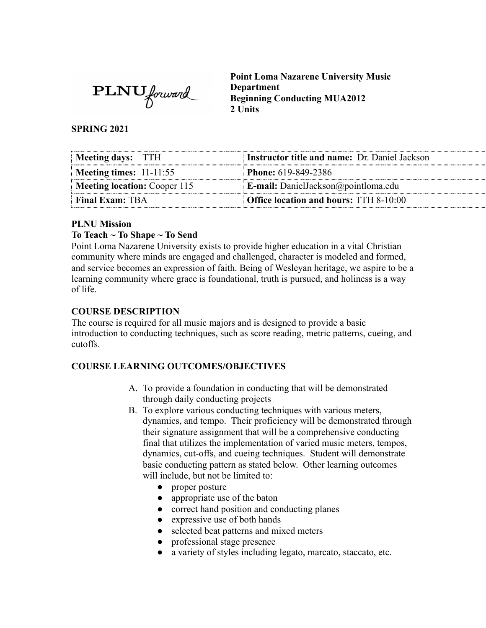**PLNU** forward

**Point Loma Nazarene University Music Department Beginning Conducting MUA2012 2 Units** 

**SPRING 2021** 

| Meeting days: TTH            | Instructor title and name: Dr. Daniel Jackson |
|------------------------------|-----------------------------------------------|
| Meeting times: $11-11:55$    | <b>Phone:</b> 619-849-2386                    |
| Meeting location: Cooper 115 | <b>E-mail:</b> DanielJackson@pointloma.edu    |
| <b>Final Exam: TBA</b>       | <b>Office location and hours: TTH 8-10:00</b> |

#### **PLNU Mission**

#### **To Teach ~ To Shape ~ To Send**

Point Loma Nazarene University exists to provide higher education in a vital Christian community where minds are engaged and challenged, character is modeled and formed, and service becomes an expression of faith. Being of Wesleyan heritage, we aspire to be a learning community where grace is foundational, truth is pursued, and holiness is a way of life.

#### **COURSE DESCRIPTION**

The course is required for all music majors and is designed to provide a basic introduction to conducting techniques, such as score reading, metric patterns, cueing, and cutoffs.

#### **COURSE LEARNING OUTCOMES/OBJECTIVES**

- A. To provide a foundation in conducting that will be demonstrated through daily conducting projects
- B. To explore various conducting techniques with various meters, dynamics, and tempo. Their proficiency will be demonstrated through their signature assignment that will be a comprehensive conducting final that utilizes the implementation of varied music meters, tempos, dynamics, cut-offs, and cueing techniques. Student will demonstrate basic conducting pattern as stated below. Other learning outcomes will include, but not be limited to:
	- proper posture
	- appropriate use of the baton
	- correct hand position and conducting planes
	- expressive use of both hands
	- selected beat patterns and mixed meters
	- professional stage presence
	- a variety of styles including legato, marcato, staccato, etc.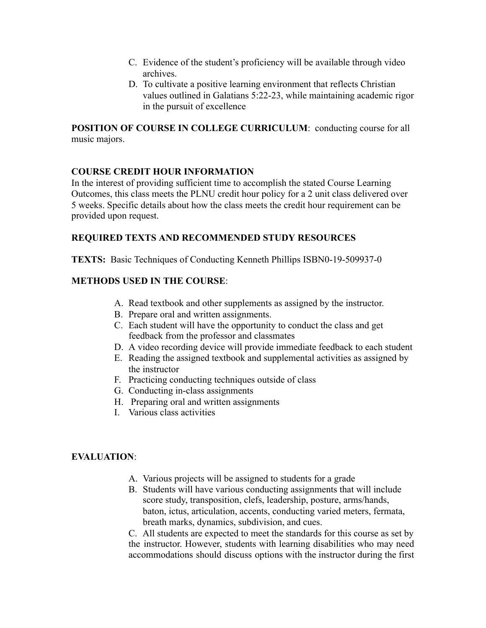- C. Evidence of the student's proficiency will be available through video archives.
- D. To cultivate a positive learning environment that reflects Christian values outlined in Galatians 5:22-23, while maintaining academic rigor in the pursuit of excellence

**POSITION OF COURSE IN COLLEGE CURRICULUM: conducting course for all** music majors.

#### **COURSE CREDIT HOUR INFORMATION**

In the interest of providing sufficient time to accomplish the stated Course Learning Outcomes, this class meets the PLNU credit hour policy for a 2 unit class delivered over 5 weeks. Specific details about how the class meets the credit hour requirement can be provided upon request.

### **REQUIRED TEXTS AND RECOMMENDED STUDY RESOURCES**

**TEXTS:** Basic Techniques of Conducting Kenneth Phillips ISBN0-19-509937-0

### **METHODS USED IN THE COURSE** :

- A. Read textbook and other supplements as assigned by the instructor.
- B. Prepare oral and written assignments.
- C. Each student will have the opportunity to conduct the class and get feedback from the professor and classmates
- D. A video recording device will provide immediate feedback to each student
- E. Reading the assigned textbook and supplemental activities as assigned by the instructor
- F. Practicing conducting techniques outside of class
- G. Conducting in-class assignments
- H. Preparing oral and written assignments
- I. Various class activities

### **EVALUATION:**

- A. Various projects will be assigned to students for a grade
- B. Students will have various conducting assignments that will include score study, transposition, clefs, leadership, posture, arms/hands, baton, ictus, articulation, accents, conducting varied meters, fermata, breath marks, dynamics, subdivision, and cues.

C. All students are expected to meet the standards for this course as set by the instructor. However, students with learning disabilities who may need accommodations should discuss options with the instructor during the first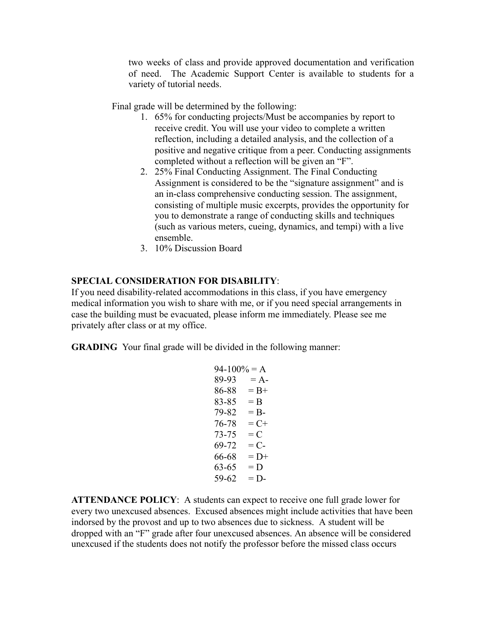two weeks of class and provide approved documentation and verification of need. The Academic Support Center is available to students for a variety of tutorial needs.

Final grade will be determined by the following:

- 1. 65% for conducting projects/Must be accompanies by report to receive credit. You will use your video to complete a written reflection, including a detailed analysis, and the collection of a positive and negative critique from a peer. Conducting assignments completed without a reflection will be given an "F".
- 2. 25% Final Conducting Assignment. The Final Conducting Assignment is considered to be the "signature assignment" and is an in-class comprehensive conducting session. The assignment, consisting of multiple music excerpts, provides the opportunity for you to demonstrate a range of conducting skills and techniques (such as various meters, cueing, dynamics, and tempi) with a live ensemble.
- 3. 10% Discussion Board

#### **SPECIAL CONSIDERATION FOR DISABILITY** :

If you need disability-related accommodations in this class, if you have emergency medical information you wish to share with me, or if you need special arrangements in case the building must be evacuated, please inform me immediately. Please see me privately after class or at my office.

**GRADING** Your final grade will be divided in the following manner:

```
94-100% = A89-93 = A86-88 = B+83-85 = B79-82 = B76-78 = C+73-75 = C69-72 = C66-68 = D+63-65 = D59-62 = D
```
**ATTENDANCE POLICY** : A students can expect to receive one full grade lower for every two unexcused absences. Excused absences might include activities that have been indorsed by the provost and up to two absences due to sickness. A student will be dropped with an "F" grade after four unexcused absences. An absence will be considered unexcused if the students does not notify the professor before the missed class occurs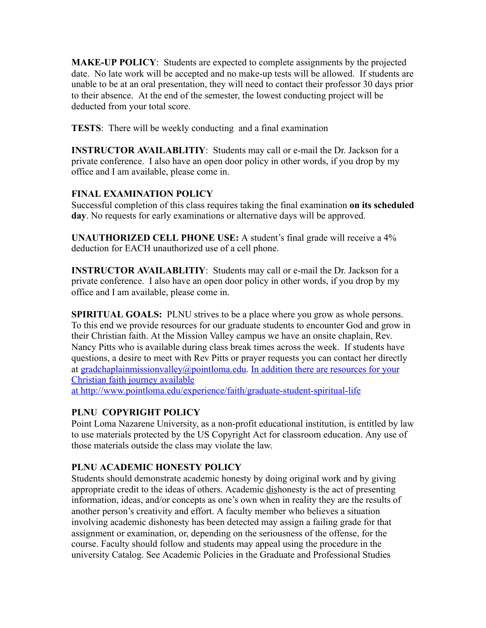**MAKE-UP POLICY:** Students are expected to complete assignments by the projected date. No late work will be accepted and no make-up tests will be allowed. If students are unable to be at an oral presentation, they will need to contact their professor 30 days prior to their absence. At the end of the semester, the lowest conducting project will be deducted from your total score.

**TESTS:** There will be weekly conducting and a final examination

**INSTRUCTOR AVAILABLITIY:** Students may call or e-mail the Dr. Jackson for a private conference. I also have an open door policy in other words, if you drop by my office and I am available, please come in.

### **FINAL EXAMINATION POLICY**

Successful completion of this class requires taking the final examination **on its scheduled day** . No requests for early examinations or alternative days will be approved.

**UNAUTHORIZED CELL PHONE USE:** A student's final grade will receive a 4% deduction for EACH unauthorized use of a cell phone.

**INSTRUCTOR AVAILABLITIY:** Students may call or e-mail the Dr. Jackson for a private conference. I also have an open door policy in other words, if you drop by my office and I am available, please come in.

**SPIRITUAL GOALS:** PLNU strives to be a place where you grow as whole persons. To this end we provide resources for our graduate students to encounter God and grow in their Christian faith. At the Mission Valley campus we have an onsite chaplain, Rev. Nancy Pitts who is available during class break times across the week. If students have questions, a desire to meet with Rev Pitts or prayer requests you can contact her directly at [gradchaplainmissionvalley@pointloma.edu](mailto:gradchaplainmissionvalley@pointloma.edu). In addition there are resources for your Christian faith journey available

at http://www.pointloma.edu/experience/faith/graduate-student-spiritual-life

### **PLNU COPYRIGHT POLICY**

Point Loma Nazarene University, as a non-profit educational institution, is entitled by law to use materials protected by the US Copyright Act for classroom education. Any use of those materials outside the class may violate the law.

### **PLNU ACADEMIC HONESTY POLICY**

Students should demonstrate academic honesty by doing original work and by giving appropriate credit to the ideas of others. Academic dishonesty is the act of presenting information, ideas, and/or concepts as one's own when in reality they are the results of another person's creativity and effort. A faculty member who believes a situation involving academic dishonesty has been detected may assign a failing grade for that assignment or examination, or, depending on the seriousness of the offense, for the course. Faculty should follow and students may appeal using the procedure in the university Catalog. See Academic Policies in the Graduate and Professional Studies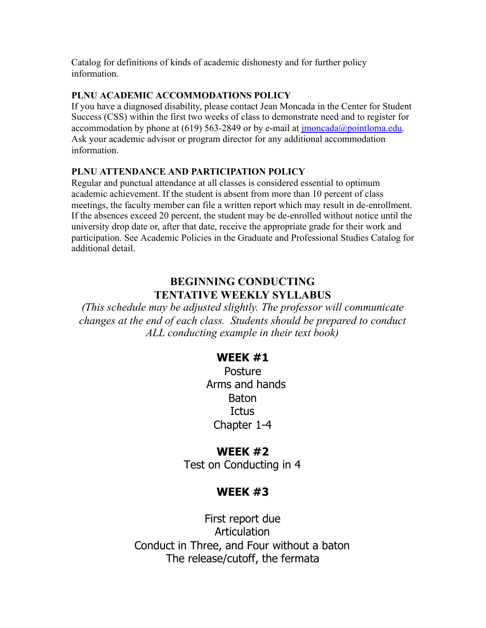Catalog for definitions of kinds of academic dishonesty and for further policy information.

#### **PLNU ACADEMIC ACCOMMODATIONS POLICY**

If you have a diagnosed disability, please contact Jean Moncada in the Center for Student Success (CSS) within the first two weeks of class to demonstrate need and to register for accommodation by phone at (619) 563-2849 or by e-mail at  $\overline{\text{imoncada}(a)}$  pointloma.edu. Ask your academic advisor or program director for any additional accommodation information.

#### **PLNU ATTENDANCE AND PARTICIPATION POLICY**

Regular and punctual attendance at all classes is considered essential to optimum academic achievement. If the student is absent from more than 10 percent of class meetings, the faculty member can file a written report which may result in de-enrollment. If the absences exceed 20 percent, the student may be de-enrolled without notice until the university drop date or, after that date, receive the appropriate grade for their work and participation. See Academic Policies in the Graduate and Professional Studies Catalog for additional detail.

## **BEGINNING CONDUCTING TENTATIVE WEEKLY SYLLABUS**

*(This schedule may be adjusted slightly. The professor will communicate changes at the end of each class. Students should be prepared to conduct ALL conducting example in their text book)*

### **WEEK #1**

Posture Arms and hands **Baton Ictus** Chapter 1-4

### **WEEK #2**

Test on Conducting in 4

# **WEEK #3**

First report due Articulation Conduct in Three, and Four without a baton The release/cutoff, the fermata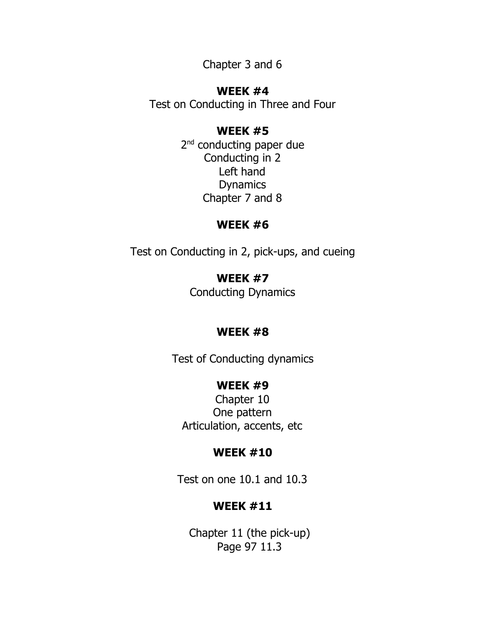Chapter 3 and 6

## **WEEK #4**

Test on Conducting in Three and Four

## **WEEK #5**

2<sup>nd</sup> conducting paper due Conducting in 2 Left hand Dynamics Chapter 7 and 8

# **WEEK #6**

Test on Conducting in 2, pick-ups, and cueing

**WEEK #7** Conducting Dynamics

# **WEEK #8**

Test of Conducting dynamics

# **WEEK #9**

Chapter 10 One pattern Articulation, accents, etc

## **WEEK #10**

Test on one 10.1 and 10.3

# **WEEK #11**

Chapter 11 (the pick-up) Page 97 11.3